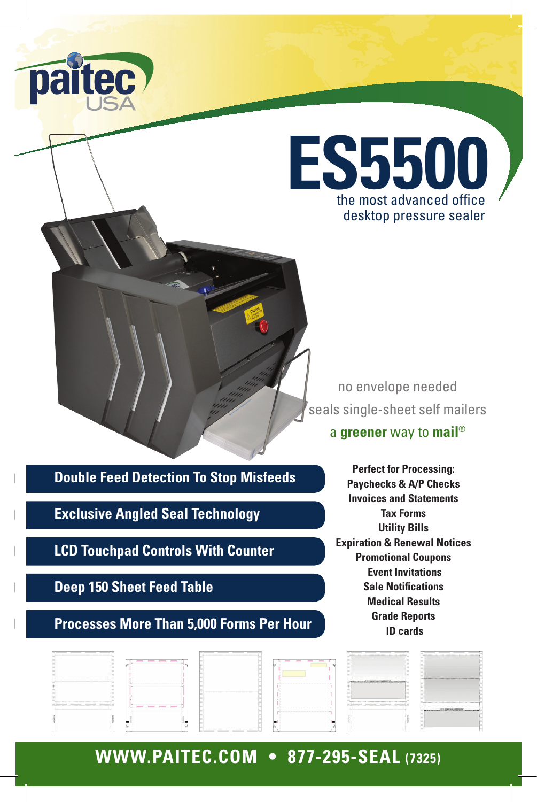



no envelope needed seals single-sheet self mailers

a **greener** way to **mail**®

**Double Feed Detection To Stop Misfeeds**

**Exclusive Angled Seal Technology**

**LCD Touchpad Controls With Counter**

**Deep 150 Sheet Feed Table**

**Processes More Than 5,000 Forms Per Hour**

**Perfect for Processing: Paychecks & A/P Checks Invoices and Statements Tax Forms Utility Bills Expiration & Renewal Notices Promotional Coupons Event Invitations Sale Notifications Medical Results Grade Reports ID cards** 

| attended the control process to the control of |                                                                                                                         | the property of the property property and the property of          |                                                                                                                |                                                              |                                                                                                                 |
|------------------------------------------------|-------------------------------------------------------------------------------------------------------------------------|--------------------------------------------------------------------|----------------------------------------------------------------------------------------------------------------|--------------------------------------------------------------|-----------------------------------------------------------------------------------------------------------------|
|                                                | ____<br>the contract of the contract of the contract of the contract of the contract of the contract of the contract of |                                                                    | .                                                                                                              |                                                              |                                                                                                                 |
|                                                |                                                                                                                         |                                                                    |                                                                                                                |                                                              |                                                                                                                 |
|                                                |                                                                                                                         |                                                                    |                                                                                                                |                                                              |                                                                                                                 |
|                                                |                                                                                                                         |                                                                    | --------------------------                                                                                     | Canadany range (2005) and 100 million (2005) - range created |                                                                                                                 |
|                                                |                                                                                                                         |                                                                    |                                                                                                                |                                                              |                                                                                                                 |
|                                                |                                                                                                                         |                                                                    |                                                                                                                |                                                              |                                                                                                                 |
| terminance terminance terminance in            |                                                                                                                         |                                                                    |                                                                                                                |                                                              |                                                                                                                 |
|                                                | power power power power ()                                                                                              |                                                                    | A hard and a structure of the state of the state of the<br>when we we we were as we were as we were as we were |                                                              | and the company of the language of the state of the company of the company of the company of the company of the |
|                                                |                                                                                                                         |                                                                    |                                                                                                                |                                                              |                                                                                                                 |
|                                                |                                                                                                                         |                                                                    |                                                                                                                |                                                              |                                                                                                                 |
|                                                | ---<br>.                                                                                                                | to the control of the control of the control of the control of the |                                                                                                                |                                                              |                                                                                                                 |

# **WWW.PAITEC.COM • 877-295-SEAL (7325)**